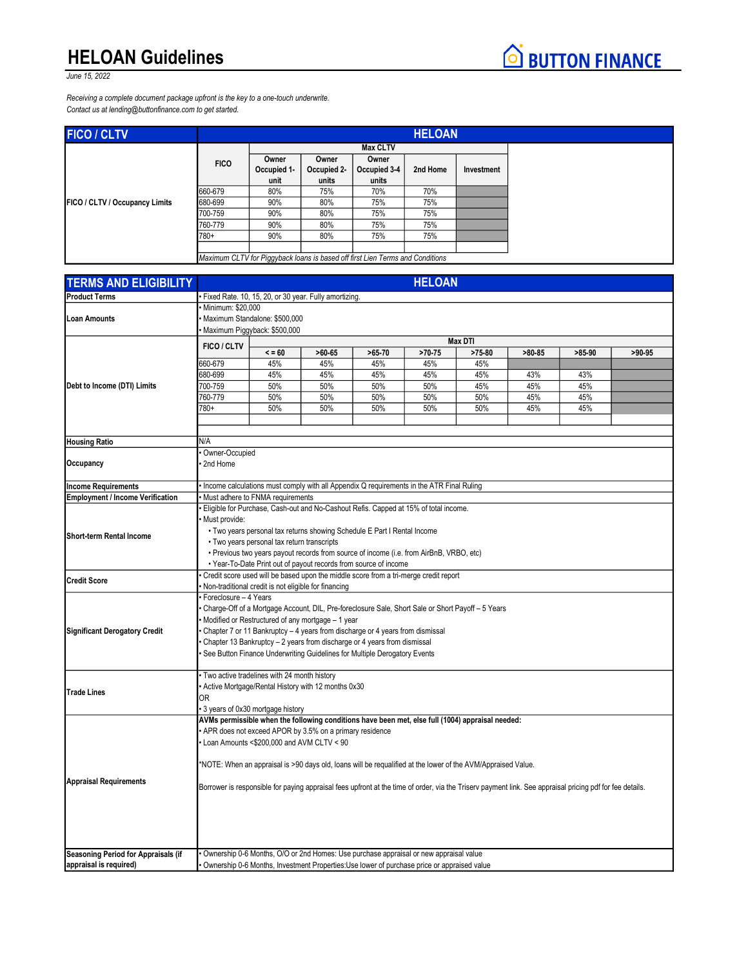## HELOAN Guidelines



Receiving a complete document package upfront is the key to a one-touch underwrite. Contact us at lending@buttonfinance.com to get started.

| <b>FICO / CLTV</b>             |             | <b>HELOAN</b>                                                                 |                               |                                |          |            |  |
|--------------------------------|-------------|-------------------------------------------------------------------------------|-------------------------------|--------------------------------|----------|------------|--|
|                                |             | <b>Max CLTV</b>                                                               |                               |                                |          |            |  |
| FICO / CLTV / Occupancy Limits | <b>FICO</b> | Owner<br>Occupied 1-<br>unit                                                  | Owner<br>Occupied 2-<br>units | Owner<br>Occupied 3-4<br>units | 2nd Home | Investment |  |
|                                | 660-679     | 80%                                                                           | 75%                           | 70%                            | 70%      |            |  |
|                                | 680-699     | 90%                                                                           | 80%                           | 75%                            | 75%      |            |  |
|                                | 700-759     | 90%                                                                           | 80%                           | 75%                            | 75%      |            |  |
|                                | 760-779     | 90%                                                                           | 80%                           | 75%                            | 75%      |            |  |
|                                | 780+        | 90%                                                                           | 80%                           | 75%                            | 75%      |            |  |
|                                |             | Maximum CLTV for Piggyback loans is based off first Lien Terms and Conditions |                               |                                |          |            |  |

| <b>TERMS AND ELIGIBILITY</b>            | <b>HELOAN</b>                                                                                                                                            |            |                                                                                      |          |          |                |          |          |          |  |
|-----------------------------------------|----------------------------------------------------------------------------------------------------------------------------------------------------------|------------|--------------------------------------------------------------------------------------|----------|----------|----------------|----------|----------|----------|--|
| <b>Product Terms</b>                    | Fixed Rate. 10, 15, 20, or 30 year. Fully amortizing.                                                                                                    |            |                                                                                      |          |          |                |          |          |          |  |
|                                         | Minimum: \$20,000                                                                                                                                        |            |                                                                                      |          |          |                |          |          |          |  |
| <b>Loan Amounts</b>                     | Maximum Standalone: \$500,000                                                                                                                            |            |                                                                                      |          |          |                |          |          |          |  |
|                                         | Maximum Piggyback: \$500,000                                                                                                                             |            |                                                                                      |          |          |                |          |          |          |  |
|                                         | FICO / CLTV                                                                                                                                              |            |                                                                                      |          |          | <b>Max DTI</b> |          |          |          |  |
|                                         |                                                                                                                                                          | $\le$ = 60 | $>60-65$                                                                             | $>65-70$ | $>70-75$ | $>75-80$       | $>80-85$ | $>85-90$ | $>90-95$ |  |
|                                         | 660-679                                                                                                                                                  | 45%        | 45%                                                                                  | 45%      | 45%      | 45%            |          |          |          |  |
|                                         | 680-699                                                                                                                                                  | 45%        | 45%                                                                                  | 45%      | 45%      | 45%            | 43%      | 43%      |          |  |
| Debt to Income (DTI) Limits             | 700-759                                                                                                                                                  | 50%        | 50%                                                                                  | 50%      | 50%      | 45%            | 45%      | 45%      |          |  |
|                                         | 760-779                                                                                                                                                  | 50%        | 50%                                                                                  | 50%      | 50%      | 50%            | 45%      | 45%      |          |  |
|                                         | 780+                                                                                                                                                     | 50%        | 50%                                                                                  | 50%      | 50%      | 50%            | 45%      | 45%      |          |  |
|                                         |                                                                                                                                                          |            |                                                                                      |          |          |                |          |          |          |  |
|                                         |                                                                                                                                                          |            |                                                                                      |          |          |                |          |          |          |  |
| <b>Housing Ratio</b>                    | N/A                                                                                                                                                      |            |                                                                                      |          |          |                |          |          |          |  |
|                                         | Owner-Occupied                                                                                                                                           |            |                                                                                      |          |          |                |          |          |          |  |
| Occupancy                               | 2nd Home                                                                                                                                                 |            |                                                                                      |          |          |                |          |          |          |  |
|                                         |                                                                                                                                                          |            |                                                                                      |          |          |                |          |          |          |  |
| <b>Income Requirements</b>              | Income calculations must comply with all Appendix Q requirements in the ATR Final Ruling                                                                 |            |                                                                                      |          |          |                |          |          |          |  |
| <b>Employment / Income Verification</b> | Must adhere to FNMA requirements                                                                                                                         |            |                                                                                      |          |          |                |          |          |          |  |
|                                         |                                                                                                                                                          |            | Eligible for Purchase, Cash-out and No-Cashout Refis. Capped at 15% of total income. |          |          |                |          |          |          |  |
|                                         | Must provide:                                                                                                                                            |            |                                                                                      |          |          |                |          |          |          |  |
| <b>Short-term Rental Income</b>         | . Two years personal tax returns showing Schedule E Part I Rental Income                                                                                 |            |                                                                                      |          |          |                |          |          |          |  |
|                                         | • Two years personal tax return transcripts                                                                                                              |            |                                                                                      |          |          |                |          |          |          |  |
|                                         | . Previous two years payout records from source of income (i.e. from AirBnB, VRBO, etc)                                                                  |            |                                                                                      |          |          |                |          |          |          |  |
|                                         | • Year-To-Date Print out of payout records from source of income                                                                                         |            |                                                                                      |          |          |                |          |          |          |  |
| <b>Credit Score</b>                     | Credit score used will be based upon the middle score from a tri-merge credit report                                                                     |            |                                                                                      |          |          |                |          |          |          |  |
|                                         | Non-traditional credit is not eligible for financing                                                                                                     |            |                                                                                      |          |          |                |          |          |          |  |
|                                         | Foreclosure - 4 Years                                                                                                                                    |            |                                                                                      |          |          |                |          |          |          |  |
|                                         | Charge-Off of a Mortgage Account, DIL, Pre-foreclosure Sale, Short Sale or Short Payoff - 5 Years                                                        |            |                                                                                      |          |          |                |          |          |          |  |
|                                         | Modified or Restructured of any mortgage - 1 year                                                                                                        |            |                                                                                      |          |          |                |          |          |          |  |
| Significant Derogatory Credit           | Chapter 7 or 11 Bankruptcy - 4 years from discharge or 4 years from dismissal                                                                            |            |                                                                                      |          |          |                |          |          |          |  |
|                                         | Chapter 13 Bankruptcy - 2 years from discharge or 4 years from dismissal                                                                                 |            |                                                                                      |          |          |                |          |          |          |  |
|                                         | See Button Finance Underwriting Guidelines for Multiple Derogatory Events                                                                                |            |                                                                                      |          |          |                |          |          |          |  |
|                                         |                                                                                                                                                          |            |                                                                                      |          |          |                |          |          |          |  |
|                                         | Two active tradelines with 24 month history                                                                                                              |            |                                                                                      |          |          |                |          |          |          |  |
| <b>Trade Lines</b>                      | Active Mortgage/Rental History with 12 months 0x30                                                                                                       |            |                                                                                      |          |          |                |          |          |          |  |
|                                         | 0R                                                                                                                                                       |            |                                                                                      |          |          |                |          |          |          |  |
|                                         | 3 years of 0x30 mortgage history                                                                                                                         |            |                                                                                      |          |          |                |          |          |          |  |
|                                         | AVMs permissible when the following conditions have been met, else full (1004) appraisal needed:                                                         |            |                                                                                      |          |          |                |          |          |          |  |
|                                         | APR does not exceed APOR by 3.5% on a primary residence                                                                                                  |            |                                                                                      |          |          |                |          |          |          |  |
|                                         | Loan Amounts <\$200,000 and AVM CLTV < 90                                                                                                                |            |                                                                                      |          |          |                |          |          |          |  |
|                                         |                                                                                                                                                          |            |                                                                                      |          |          |                |          |          |          |  |
|                                         | NOTE: When an appraisal is >90 days old, loans will be requalified at the lower of the AVM/Appraised Value.                                              |            |                                                                                      |          |          |                |          |          |          |  |
|                                         |                                                                                                                                                          |            |                                                                                      |          |          |                |          |          |          |  |
| <b>Appraisal Requirements</b>           | Borrower is responsible for paying appraisal fees upfront at the time of order, via the Trisery payment link. See appraisal pricing pdf for fee details. |            |                                                                                      |          |          |                |          |          |          |  |
|                                         |                                                                                                                                                          |            |                                                                                      |          |          |                |          |          |          |  |
|                                         |                                                                                                                                                          |            |                                                                                      |          |          |                |          |          |          |  |
|                                         |                                                                                                                                                          |            |                                                                                      |          |          |                |          |          |          |  |
|                                         |                                                                                                                                                          |            |                                                                                      |          |          |                |          |          |          |  |
|                                         |                                                                                                                                                          |            |                                                                                      |          |          |                |          |          |          |  |
| Seasoning Period for Appraisals (if     | Ownership 0-6 Months, O/O or 2nd Homes: Use purchase appraisal or new appraisal value                                                                    |            |                                                                                      |          |          |                |          |          |          |  |
| appraisal is required)                  | Ownership 0-6 Months, Investment Properties: Use lower of purchase price or appraised value                                                              |            |                                                                                      |          |          |                |          |          |          |  |

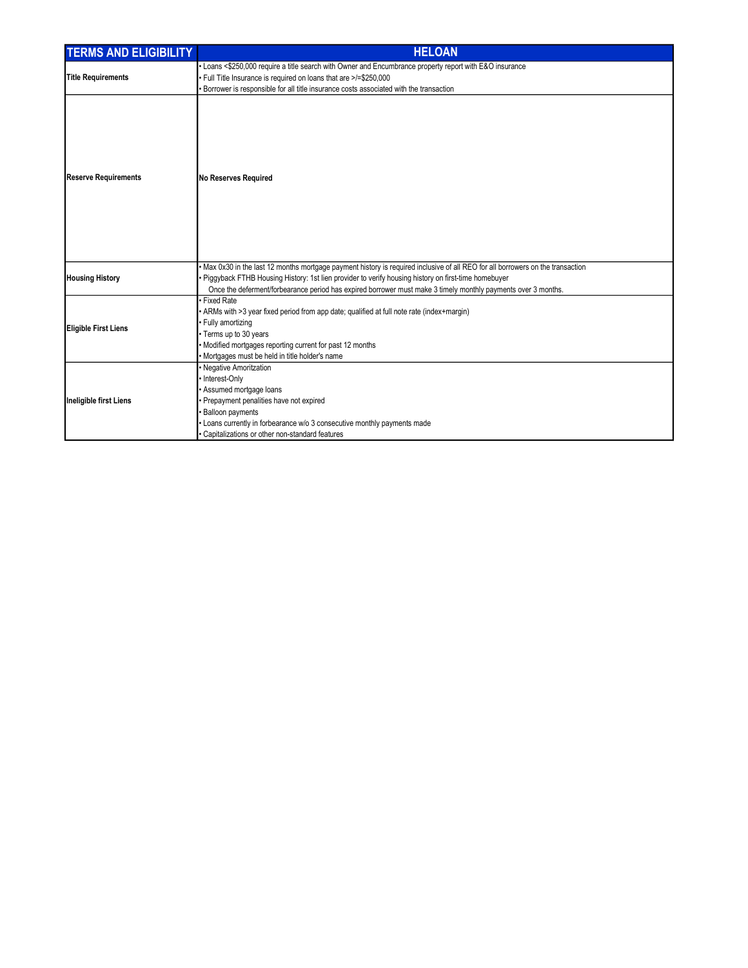| <b>TERMS AND ELIGIBILITY</b> | <b>HELOAN</b>                                                                                                                                                                                                                                                                                                                                         |  |  |  |  |  |  |
|------------------------------|-------------------------------------------------------------------------------------------------------------------------------------------------------------------------------------------------------------------------------------------------------------------------------------------------------------------------------------------------------|--|--|--|--|--|--|
|                              | Loans <\$250,000 require a title search with Owner and Encumbrance property report with E&O insurance                                                                                                                                                                                                                                                 |  |  |  |  |  |  |
| <b>Title Requirements</b>    | Full Title Insurance is required on loans that are >/=\$250,000                                                                                                                                                                                                                                                                                       |  |  |  |  |  |  |
|                              | Borrower is responsible for all title insurance costs associated with the transaction                                                                                                                                                                                                                                                                 |  |  |  |  |  |  |
| <b>Reserve Requirements</b>  | No Reserves Required                                                                                                                                                                                                                                                                                                                                  |  |  |  |  |  |  |
| <b>Housing History</b>       | Max 0x30 in the last 12 months mortgage payment history is required inclusive of all REO for all borrowers on the transaction<br>Piggyback FTHB Housing History: 1st lien provider to verify housing history on first-time homebuyer<br>Once the deferment/forbearance period has expired borrower must make 3 timely monthly payments over 3 months. |  |  |  |  |  |  |
| Eligible First Liens         | <b>Fixed Rate</b><br>ARMs with >3 year fixed period from app date; qualified at full note rate (index+margin)<br>Fully amortizing<br>Terms up to 30 years<br>Modified mortgages reporting current for past 12 months<br>Mortgages must be held in title holder's name                                                                                 |  |  |  |  |  |  |
| Ineligible first Liens       | Negative Amoritzation<br>Interest-Only<br>Assumed mortgage loans<br>Prepayment penalities have not expired<br><b>Balloon payments</b><br>Loans currently in forbearance w/o 3 consecutive monthly payments made<br>Capitalizations or other non-standard features                                                                                     |  |  |  |  |  |  |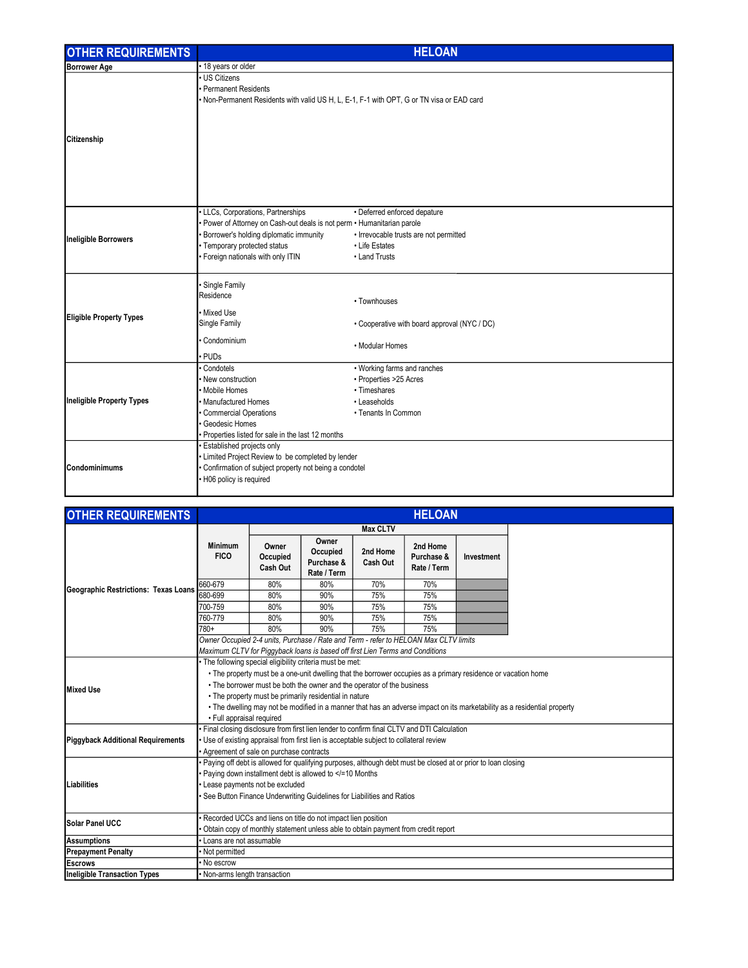| <b>OTHER REQUIREMENTS</b>      | <b>HELOAN</b>                                                                                                 |                                              |  |  |  |  |  |
|--------------------------------|---------------------------------------------------------------------------------------------------------------|----------------------------------------------|--|--|--|--|--|
| <b>Borrower Age</b>            | • 18 years or older                                                                                           |                                              |  |  |  |  |  |
|                                | · US Citizens                                                                                                 |                                              |  |  |  |  |  |
|                                | Permanent Residents                                                                                           |                                              |  |  |  |  |  |
|                                | . Non-Permanent Residents with valid US H, L, E-1, F-1 with OPT, G or TN visa or EAD card                     |                                              |  |  |  |  |  |
|                                |                                                                                                               |                                              |  |  |  |  |  |
|                                |                                                                                                               |                                              |  |  |  |  |  |
| Citizenship                    |                                                                                                               |                                              |  |  |  |  |  |
|                                |                                                                                                               |                                              |  |  |  |  |  |
|                                |                                                                                                               |                                              |  |  |  |  |  |
|                                |                                                                                                               |                                              |  |  |  |  |  |
|                                |                                                                                                               |                                              |  |  |  |  |  |
|                                |                                                                                                               |                                              |  |  |  |  |  |
|                                | • LLCs, Corporations, Partnerships                                                                            | • Deferred enforced depature                 |  |  |  |  |  |
|                                | Power of Attorney on Cash-out deals is not perm • Humanitarian parole                                         |                                              |  |  |  |  |  |
|                                | Borrower's holding diplomatic immunity                                                                        | · Irrevocable trusts are not permitted       |  |  |  |  |  |
| Ineligible Borrowers           | • Temporary protected status                                                                                  | • Life Estates                               |  |  |  |  |  |
|                                | Foreign nationals with only ITIN                                                                              | • Land Trusts                                |  |  |  |  |  |
|                                |                                                                                                               |                                              |  |  |  |  |  |
|                                | · Single Family                                                                                               |                                              |  |  |  |  |  |
|                                | Residence                                                                                                     |                                              |  |  |  |  |  |
|                                |                                                                                                               | • Townhouses                                 |  |  |  |  |  |
| <b>Eligible Property Types</b> | · Mixed Use<br>Single Family                                                                                  | • Cooperative with board approval (NYC / DC) |  |  |  |  |  |
|                                |                                                                                                               |                                              |  |  |  |  |  |
|                                | Condominium                                                                                                   | • Modular Homes                              |  |  |  |  |  |
|                                | · PUDs                                                                                                        |                                              |  |  |  |  |  |
|                                | Condotels                                                                                                     | • Working farms and ranches                  |  |  |  |  |  |
|                                | New construction                                                                                              | • Properties >25 Acres                       |  |  |  |  |  |
|                                | · Mobile Homes                                                                                                | • Timeshares                                 |  |  |  |  |  |
| Ineligible Property Types      | · Manufactured Homes                                                                                          | • Leaseholds                                 |  |  |  |  |  |
|                                | Commercial Operations                                                                                         | • Tenants In Common                          |  |  |  |  |  |
|                                | Geodesic Homes                                                                                                |                                              |  |  |  |  |  |
|                                | · Properties listed for sale in the last 12 months                                                            |                                              |  |  |  |  |  |
|                                | · Established projects only                                                                                   |                                              |  |  |  |  |  |
| <b>Condominimums</b>           | • Limited Project Review to be completed by lender<br>· Confirmation of subject property not being a condotel |                                              |  |  |  |  |  |
|                                | • H06 policy is required                                                                                      |                                              |  |  |  |  |  |
|                                |                                                                                                               |                                              |  |  |  |  |  |

| <b>OTHER REQUIREMENTS</b>                | <b>HELOAN</b>                                                                                                                                                                                                                                                                                                                                                                                                                                                         |                               |                                                                                                                                                                       |                      |                                       |            |  |
|------------------------------------------|-----------------------------------------------------------------------------------------------------------------------------------------------------------------------------------------------------------------------------------------------------------------------------------------------------------------------------------------------------------------------------------------------------------------------------------------------------------------------|-------------------------------|-----------------------------------------------------------------------------------------------------------------------------------------------------------------------|----------------------|---------------------------------------|------------|--|
|                                          |                                                                                                                                                                                                                                                                                                                                                                                                                                                                       | <b>Max CLTV</b>               |                                                                                                                                                                       |                      |                                       |            |  |
|                                          | <b>Minimum</b><br><b>FICO</b>                                                                                                                                                                                                                                                                                                                                                                                                                                         | Owner<br>Occupied<br>Cash Out | Owner<br>Occupied<br>Purchase &<br>Rate / Term                                                                                                                        | 2nd Home<br>Cash Out | 2nd Home<br>Purchase &<br>Rate / Term | Investment |  |
| Geographic Restrictions: Texas Loans     | 660-679                                                                                                                                                                                                                                                                                                                                                                                                                                                               | 80%                           | 80%                                                                                                                                                                   | 70%                  | 70%                                   |            |  |
|                                          | 680-699                                                                                                                                                                                                                                                                                                                                                                                                                                                               | 80%                           | 90%                                                                                                                                                                   | 75%                  | 75%                                   |            |  |
|                                          | 700-759                                                                                                                                                                                                                                                                                                                                                                                                                                                               | 80%                           | 90%                                                                                                                                                                   | 75%                  | 75%                                   |            |  |
|                                          | 760-779                                                                                                                                                                                                                                                                                                                                                                                                                                                               | 80%                           | 90%                                                                                                                                                                   | 75%                  | 75%                                   |            |  |
|                                          | 780+                                                                                                                                                                                                                                                                                                                                                                                                                                                                  | 80%                           | 90%                                                                                                                                                                   | 75%                  | 75%                                   |            |  |
|                                          |                                                                                                                                                                                                                                                                                                                                                                                                                                                                       |                               | Owner Occupied 2-4 units, Purchase / Rate and Term - refer to HELOAN Max CLTV limits<br>Maximum CLTV for Piggyback loans is based off first Lien Terms and Conditions |                      |                                       |            |  |
| Mixed Use                                | The following special eligibility criteria must be met:<br>• The property must be a one-unit dwelling that the borrower occupies as a primary residence or vacation home<br>• The borrower must be both the owner and the operator of the business<br>. The property must be primarily residential in nature<br>• The dwelling may not be modified in a manner that has an adverse impact on its marketability as a residential property<br>• Full appraisal required |                               |                                                                                                                                                                       |                      |                                       |            |  |
| <b>Piggyback Additional Requirements</b> | Final closing disclosure from first lien lender to confirm final CLTV and DTI Calculation<br>Use of existing appraisal from first lien is acceptable subject to collateral review<br>Agreement of sale on purchase contracts                                                                                                                                                                                                                                          |                               |                                                                                                                                                                       |                      |                                       |            |  |
| <b>I</b> Liabilities                     | Paying off debt is allowed for qualifying purposes, although debt must be closed at or prior to loan closing<br>Paying down installment debt is allowed to =10 Months<br Lease payments not be excluded<br>See Button Finance Underwriting Guidelines for Liabilities and Ratios                                                                                                                                                                                      |                               |                                                                                                                                                                       |                      |                                       |            |  |
| <b>I</b> Solar Panel UCC                 | Recorded UCCs and liens on title do not impact lien position<br>Obtain copy of monthly statement unless able to obtain payment from credit report                                                                                                                                                                                                                                                                                                                     |                               |                                                                                                                                                                       |                      |                                       |            |  |
| Assumptions                              | Loans are not assumable                                                                                                                                                                                                                                                                                                                                                                                                                                               |                               |                                                                                                                                                                       |                      |                                       |            |  |
| Prepayment Penalty                       | Not permitted                                                                                                                                                                                                                                                                                                                                                                                                                                                         |                               |                                                                                                                                                                       |                      |                                       |            |  |
| <b>IEscrows</b>                          | No escrow                                                                                                                                                                                                                                                                                                                                                                                                                                                             |                               |                                                                                                                                                                       |                      |                                       |            |  |
| Ineligible Transaction Types             | Non-arms length transaction                                                                                                                                                                                                                                                                                                                                                                                                                                           |                               |                                                                                                                                                                       |                      |                                       |            |  |